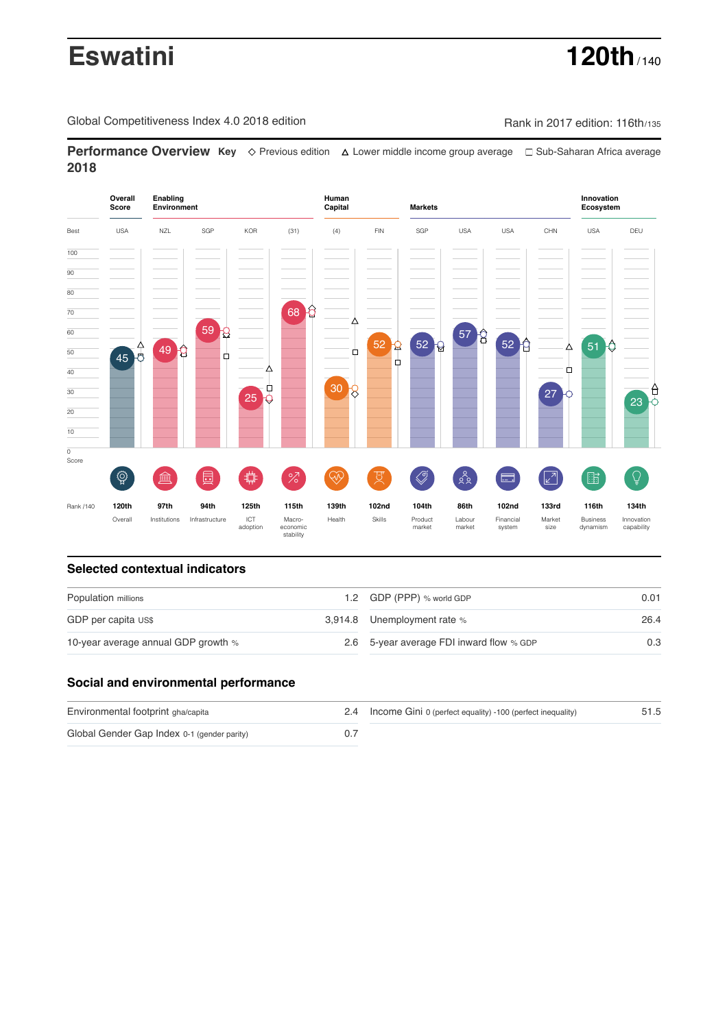# **Eswatini 120th**

Global Competitiveness Index 4.0 2018 edition Rank in 2017 edition: 116th/135

**Performance Overview Key** Previous edition Lower middle income group average Sub-Saharan Africa average **2018**



## **Selected contextual indicators**

| Population millions                 |  | 1.2 GDP (PPP) % world GDP                | 0.01 |  |
|-------------------------------------|--|------------------------------------------|------|--|
| GDP per capita US\$                 |  | 3,914.8 Unemployment rate %              | 26.4 |  |
| 10-year average annual GDP growth % |  | 2.6 5-year average FDI inward flow % GDP | 0.3  |  |

## **Social and environmental performance**

| Environmental footprint gha/capita          | 2.4 Income Gini 0 (perfect equality) -100 (perfect inequality) | 51.5 |
|---------------------------------------------|----------------------------------------------------------------|------|
| Global Gender Gap Index 0-1 (gender parity) |                                                                |      |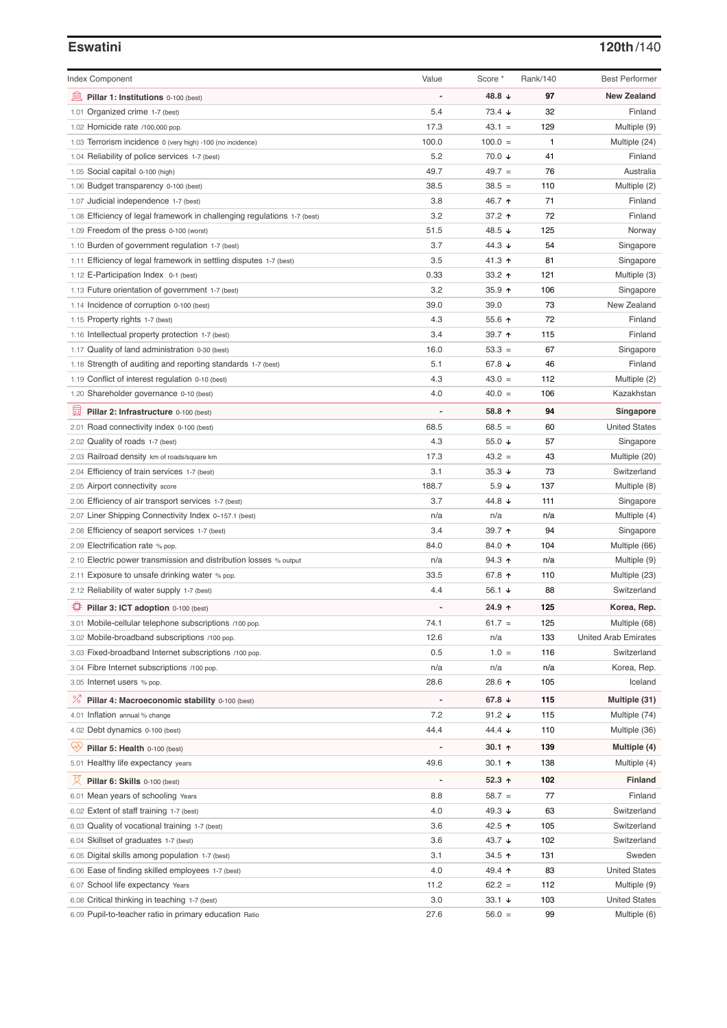## **Eswatini 120th**/140

| <b>Index Component</b>                                                   | Value                    | Score *                  | Rank/140 | <b>Best Performer</b>       |
|--------------------------------------------------------------------------|--------------------------|--------------------------|----------|-----------------------------|
| 無<br>Pillar 1: Institutions 0-100 (best)                                 | $\overline{a}$           | 48.8 ↓                   | 97       | <b>New Zealand</b>          |
| 1.01 Organized crime 1-7 (best)                                          | 5.4                      | $73.4 +$                 | 32       | Finland                     |
| 1.02 Homicide rate /100,000 pop.                                         | 17.3                     | $43.1 =$                 | 129      | Multiple (9)                |
| 1.03 Terrorism incidence 0 (very high) -100 (no incidence)               | 100.0                    | $100.0 =$                | 1        | Multiple (24)               |
| 1.04 Reliability of police services 1-7 (best)                           | 5.2                      | 70.0 ↓                   | 41       | Finland                     |
| 1.05 Social capital 0-100 (high)                                         | 49.7                     | $49.7 =$                 | 76       | Australia                   |
| 1.06 Budget transparency 0-100 (best)                                    | 38.5                     | $38.5 =$                 | 110      | Multiple (2)                |
| 1.07 Judicial independence 1-7 (best)                                    | 3.8                      | 46.7 ↑                   | 71       | Finland                     |
| 1.08 Efficiency of legal framework in challenging regulations 1-7 (best) | 3.2                      | 37.2 ↑                   | 72       | Finland                     |
| 1.09 Freedom of the press 0-100 (worst)                                  | 51.5                     | 48.5 ↓                   | 125      | Norway                      |
| 1.10 Burden of government regulation 1-7 (best)                          | 3.7                      | 44.3 ↓                   | 54       | Singapore                   |
| 1.11 Efficiency of legal framework in settling disputes 1-7 (best)       | 3.5                      | 41.3 ↑                   | 81       | Singapore                   |
| 1.12 E-Participation Index 0-1 (best)                                    | 0.33                     | 33.2 $\uparrow$          | 121      | Multiple (3)                |
|                                                                          | 3.2                      | $35.9$ ↑                 | 106      | Singapore                   |
| 1.13 Future orientation of government 1-7 (best)                         | 39.0                     | 39.0                     | 73       | New Zealand                 |
| 1.14 Incidence of corruption 0-100 (best)                                |                          |                          | 72       |                             |
| 1.15 Property rights 1-7 (best)                                          | 4.3                      | 55.6 个                   |          | Finland                     |
| 1.16 Intellectual property protection 1-7 (best)                         | 3.4                      | 39.7 ↑                   | 115      | Finland                     |
| 1.17 Quality of land administration 0-30 (best)                          | 16.0                     | $53.3 =$                 | 67       | Singapore                   |
| 1.18 Strength of auditing and reporting standards 1-7 (best)             | 5.1                      | 67.8 ↓                   | 46       | Finland                     |
| 1.19 Conflict of interest regulation 0-10 (best)                         | 4.3                      | $43.0 =$                 | 112      | Multiple (2)                |
| 1.20 Shareholder governance 0-10 (best)                                  | 4.0                      | $40.0 =$                 | 106      | Kazakhstan                  |
| 員<br>Pillar 2: Infrastructure 0-100 (best)                               |                          | 58.8 ↑                   | 94       | Singapore                   |
| 2.01 Road connectivity index 0-100 (best)                                | 68.5                     | $68.5 =$                 | 60       | <b>United States</b>        |
| 2.02 Quality of roads 1-7 (best)                                         | 4.3                      | 55.0 $\sqrt{ }$          | 57       | Singapore                   |
| 2.03 Railroad density km of roads/square km                              | 17.3                     | $43.2 =$                 | 43       | Multiple (20)               |
| 2.04 Efficiency of train services 1-7 (best)                             | 3.1                      | $35.3 +$                 | 73       | Switzerland                 |
| 2.05 Airport connectivity score                                          | 188.7                    | $5.9 \downarrow$         | 137      | Multiple (8)                |
| 2.06 Efficiency of air transport services 1-7 (best)                     | 3.7                      | 44.8 ↓                   | 111      | Singapore                   |
| 2.07 Liner Shipping Connectivity Index 0-157.1 (best)                    | n/a                      | n/a                      | n/a      | Multiple (4)                |
| 2.08 Efficiency of seaport services 1-7 (best)                           | 3.4                      | 39.7 ↑                   | 94       | Singapore                   |
| 2.09 Electrification rate % pop.                                         | 84.0                     | 84.0 个                   | 104      | Multiple (66)               |
| Electric power transmission and distribution losses % output<br>2.10     | n/a                      | 94.3 ↑                   | n/a      | Multiple (9)                |
| Exposure to unsafe drinking water % pop.<br>2.11                         | 33.5                     | 67.8 ↑                   | 110      | Multiple (23)               |
| 2.12 Reliability of water supply 1-7 (best)                              | 4.4                      | 56.1 $\sqrt{ }$          | 88       | Switzerland                 |
| ₽<br>Pillar 3: ICT adoption 0-100 (best)                                 | $\overline{a}$           | 24.9 ↑                   | 125      | Korea, Rep.                 |
| 3.01 Mobile-cellular telephone subscriptions /100 pop.                   | 74.1                     | $61.7 =$                 | 125      | Multiple (68)               |
| 3.02 Mobile-broadband subscriptions /100 pop.                            | 12.6                     | n/a                      | 133      | <b>United Arab Emirates</b> |
| 3.03 Fixed-broadband Internet subscriptions /100 pop.                    | 0.5                      | $1.0 =$                  | 116      | Switzerland                 |
| 3.04 Fibre Internet subscriptions /100 pop.                              | n/a                      | n/a                      | n/a      | Korea, Rep.                 |
| 3.05 Internet users % pop.                                               | 28.6                     | 28.6 ↑                   | 105      | Iceland                     |
| ℅<br>Pillar 4: Macroeconomic stability 0-100 (best)                      | $\overline{\phantom{a}}$ | 67.8 $\sqrt{ }$          | 115      | Multiple (31)               |
| 4.01 Inflation annual % change                                           | 7.2                      | 91.2 $\sqrt{ }$          | 115      | Multiple (74)               |
| 4.02 Debt dynamics 0-100 (best)                                          | 44.4                     | 44.4 $\sqrt{ }$          | 110      | Multiple (36)               |
| ųÿ<br>Pillar 5: Health 0-100 (best)                                      |                          | $30.1 \text{ } \uparrow$ | 139      | Multiple (4)                |
| 5.01 Healthy life expectancy years                                       | 49.6                     | $30.1$ 1                 | 138      | Multiple (4)                |
|                                                                          |                          |                          |          |                             |
| 섯<br>Pillar 6: Skills 0-100 (best)                                       | $\overline{a}$           | 52.3 $\uparrow$          | 102      | <b>Finland</b>              |
| 6.01 Mean years of schooling Years                                       | 8.8                      | $58.7 =$                 | 77       | Finland                     |
| 6.02 Extent of staff training 1-7 (best)                                 | 4.0                      | 49.3 $\sqrt{ }$          | 63       | Switzerland                 |
| 6.03 Quality of vocational training 1-7 (best)                           | 3.6                      | 42.5 ↑                   | 105      | Switzerland                 |
| 6.04 Skillset of graduates 1-7 (best)                                    | 3.6                      | 43.7 $\sqrt{ }$          | 102      | Switzerland                 |
| 6.05 Digital skills among population 1-7 (best)                          | 3.1                      | 34.5 ↑                   | 131      | Sweden                      |
| 6.06 Ease of finding skilled employees 1-7 (best)                        | 4.0                      | 49.4 ↑                   | 83       | <b>United States</b>        |
| 6.07 School life expectancy Years                                        | 11.2                     | $62.2 =$                 | 112      | Multiple (9)                |
| 6.08 Critical thinking in teaching 1-7 (best)                            | 3.0                      | $33.1 +$                 | 103      | <b>United States</b>        |
| 6.09 Pupil-to-teacher ratio in primary education Ratio                   | 27.6                     | $56.0 =$                 | 99       | Multiple (6)                |